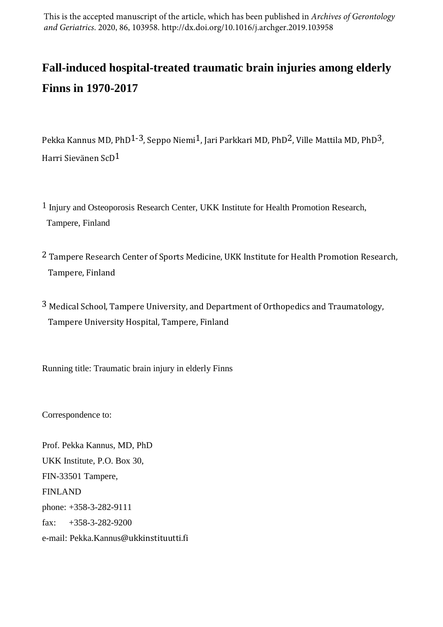This is the accepted manuscript of the article, which has been published in *Archives of Gerontology and Geriatrics*. 2020, 86, 103958. http://dx.doi.org/10.1016/j.archger.2019.103958

# **Fall-induced hospital-treated traumatic brain injuries among elderly Finns in 1970-2017**

Pekka Kannus MD, PhD<sup>1-3</sup>, Seppo Niemi<sup>1</sup>, Jari Parkkari MD, PhD<sup>2</sup>, Ville Mattila MD, PhD<sup>3</sup>, Harri Sievänen ScD1

- 1 Injury and Osteoporosis Research Center, UKK Institute for Health Promotion Research, Tampere, Finland
- 2 Tampere Research Center of Sports Medicine, UKK Institute for Health Promotion Research, Tampere, Finland
- 3 Medical School, Tampere University, and Department of Orthopedics and Traumatology, Tampere University Hospital, Tampere, Finland

Running title: Traumatic brain injury in elderly Finns

Correspondence to:

Prof. Pekka Kannus, MD, PhD UKK Institute, P.O. Box 30, FIN-33501 Tampere, FINLAND phone: +358-3-282-9111 fax:  $+358-3-282-9200$ e-mail: Pekka.Kannus@ukkinstituutti.fi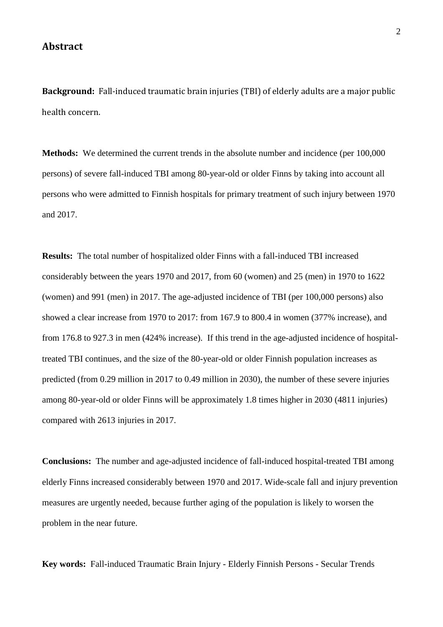#### **Abstract**

**Background:** Fall-induced traumatic brain injuries (TBI) of elderly adults are a major public health concern.

**Methods:** We determined the current trends in the absolute number and incidence (per 100,000) persons) of severe fall-induced TBI among 80-year-old or older Finns by taking into account all persons who were admitted to Finnish hospitals for primary treatment of such injury between 1970 and 2017.

**Results:** The total number of hospitalized older Finns with a fall-induced TBI increased considerably between the years 1970 and 2017, from 60 (women) and 25 (men) in 1970 to 1622 (women) and 991 (men) in 2017. The age-adjusted incidence of TBI (per 100,000 persons) also showed a clear increase from 1970 to 2017: from 167.9 to 800.4 in women (377% increase), and from 176.8 to 927.3 in men (424% increase). If this trend in the age-adjusted incidence of hospitaltreated TBI continues, and the size of the 80-year-old or older Finnish population increases as predicted (from 0.29 million in 2017 to 0.49 million in 2030), the number of these severe injuries among 80-year-old or older Finns will be approximately 1.8 times higher in 2030 (4811 injuries) compared with 2613 injuries in 2017.

**Conclusions:** The number and age-adjusted incidence of fall-induced hospital-treated TBI among elderly Finns increased considerably between 1970 and 2017. Wide-scale fall and injury prevention measures are urgently needed, because further aging of the population is likely to worsen the problem in the near future.

**Key words:** Fall-induced Traumatic Brain Injury - Elderly Finnish Persons - Secular Trends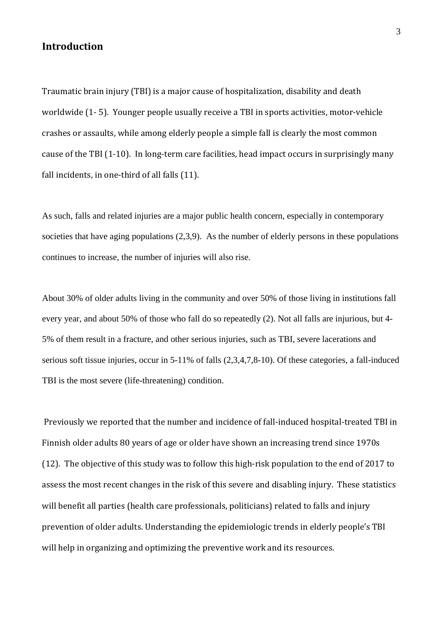## **Introduction**

Traumatic brain injury (TBI) is a major cause of hospitalization, disability and death worldwide (1- 5). Younger people usually receive a TBI in sports activities, motor-vehicle crashes or assaults, while among elderly people a simple fall is clearly the most common cause of the TBI (1-10). In long-term care facilities, head impact occurs in surprisingly many fall incidents, in one-third of all falls (11).

As such, falls and related injuries are a major public health concern, especially in contemporary societies that have aging populations (2,3,9). As the number of elderly persons in these populations continues to increase, the number of injuries will also rise.

About 30% of older adults living in the community and over 50% of those living in institutions fall every year, and about 50% of those who fall do so repeatedly (2). Not all falls are injurious, but 4- 5% of them result in a fracture, and other serious injuries, such as TBI, severe lacerations and serious soft tissue injuries, occur in 5-11% of falls (2,3,4,7,8-10). Of these categories, a fall-induced TBI is the most severe (life-threatening) condition.

Previously we reported that the number and incidence of fall-induced hospital-treated TBI in Finnish older adults 80 years of age or older have shown an increasing trend since 1970s (12). The objective of this study was to follow this high-risk population to the end of 2017 to assess the most recent changes in the risk of this severe and disabling injury. These statistics will benefit all parties (health care professionals, politicians) related to falls and injury prevention of older adults. Understanding the epidemiologic trends in elderly people's TBI will help in organizing and optimizing the preventive work and its resources.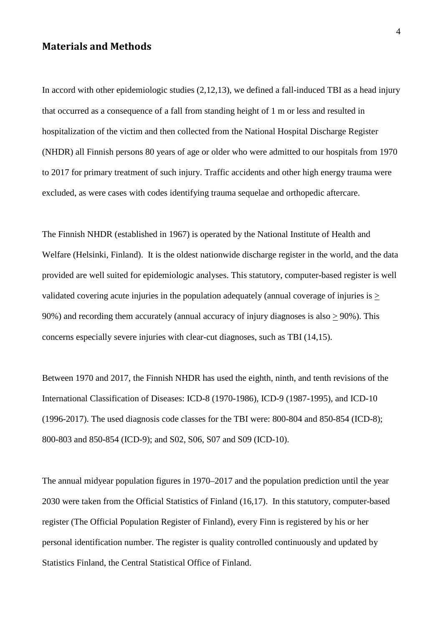#### **Materials and Methods**

In accord with other epidemiologic studies (2,12,13), we defined a fall-induced TBI as a head injury that occurred as a consequence of a fall from standing height of 1 m or less and resulted in hospitalization of the victim and then collected from the National Hospital Discharge Register (NHDR) all Finnish persons 80 years of age or older who were admitted to our hospitals from 1970 to 2017 for primary treatment of such injury. Traffic accidents and other high energy trauma were excluded, as were cases with codes identifying trauma sequelae and orthopedic aftercare.

The Finnish NHDR (established in 1967) is operated by the National Institute of Health and Welfare (Helsinki, Finland). It is the oldest nationwide discharge register in the world, and the data provided are well suited for epidemiologic analyses. This statutory, computer-based register is well validated covering acute injuries in the population adequately (annual coverage of injuries is > 90%) and recording them accurately (annual accuracy of injury diagnoses is also  $\geq$  90%). This concerns especially severe injuries with clear-cut diagnoses, such as TBI (14,15).

Between 1970 and 2017, the Finnish NHDR has used the eighth, ninth, and tenth revisions of the International Classification of Diseases: ICD-8 (1970-1986), ICD-9 (1987-1995), and ICD-10 (1996-2017). The used diagnosis code classes for the TBI were: 800-804 and 850-854 (ICD-8); 800-803 and 850-854 (ICD-9); and S02, S06, S07 and S09 (ICD-10).

The annual midyear population figures in 1970–2017 and the population prediction until the year 2030 were taken from the Official Statistics of Finland (16,17). In this statutory, computer-based register (The Official Population Register of Finland), every Finn is registered by his or her personal identification number. The register is quality controlled continuously and updated by Statistics Finland, the Central Statistical Office of Finland.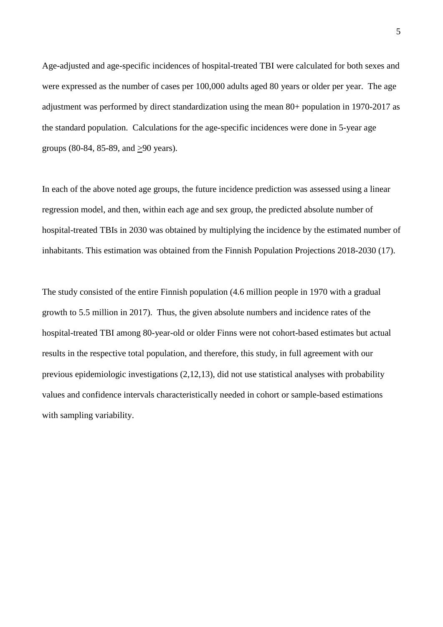Age-adjusted and age-specific incidences of hospital-treated TBI were calculated for both sexes and were expressed as the number of cases per 100,000 adults aged 80 years or older per year. The age adjustment was performed by direct standardization using the mean 80+ population in 1970-2017 as the standard population. Calculations for the age-specific incidences were done in 5-year age groups (80-84, 85-89, and >90 years).

In each of the above noted age groups, the future incidence prediction was assessed using a linear regression model, and then, within each age and sex group, the predicted absolute number of hospital-treated TBIs in 2030 was obtained by multiplying the incidence by the estimated number of inhabitants. This estimation was obtained from the Finnish Population Projections 2018-2030 (17).

The study consisted of the entire Finnish population (4.6 million people in 1970 with a gradual growth to 5.5 million in 2017). Thus, the given absolute numbers and incidence rates of the hospital-treated TBI among 80-year-old or older Finns were not cohort-based estimates but actual results in the respective total population, and therefore, this study, in full agreement with our previous epidemiologic investigations (2,12,13), did not use statistical analyses with probability values and confidence intervals characteristically needed in cohort or sample-based estimations with sampling variability.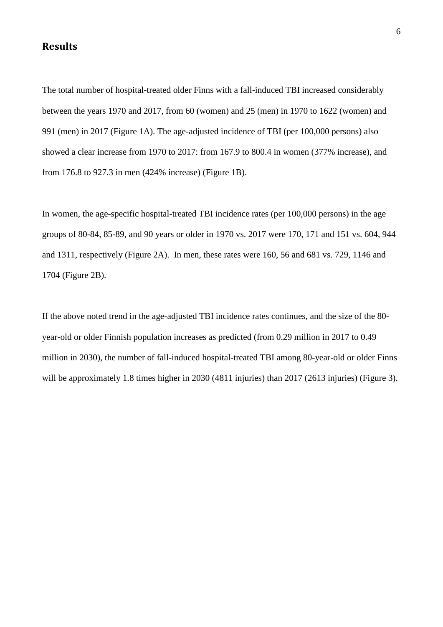## **Results**

The total number of hospital-treated older Finns with a fall-induced TBI increased considerably between the years 1970 and 2017, from 60 (women) and 25 (men) in 1970 to 1622 (women) and 991 (men) in 2017 (Figure 1A). The age-adjusted incidence of TBI (per 100,000 persons) also showed a clear increase from 1970 to 2017: from 167.9 to 800.4 in women (377% increase), and from 176.8 to 927.3 in men (424% increase) (Figure 1B).

In women, the age-specific hospital-treated TBI incidence rates (per 100,000 persons) in the age groups of 80-84, 85-89, and 90 years or older in 1970 vs. 2017 were 170, 171 and 151 vs. 604, 944 and 1311, respectively (Figure 2A). In men, these rates were 160, 56 and 681 vs. 729, 1146 and 1704 (Figure 2B).

If the above noted trend in the age-adjusted TBI incidence rates continues, and the size of the 80 year-old or older Finnish population increases as predicted (from 0.29 million in 2017 to 0.49 million in 2030), the number of fall-induced hospital-treated TBI among 80-year-old or older Finns will be approximately 1.8 times higher in 2030 (4811 injuries) than 2017 (2613 injuries) (Figure 3).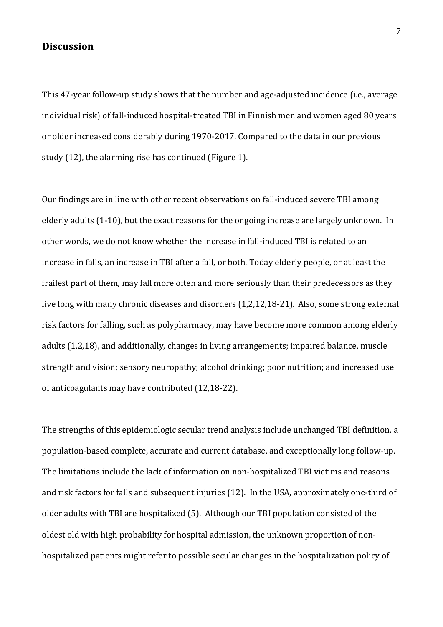#### **Discussion**

This 47-year follow-up study shows that the number and age-adjusted incidence (i.e., average individual risk) of fall-induced hospital-treated TBI in Finnish men and women aged 80 years or older increased considerably during 1970-2017. Compared to the data in our previous study (12), the alarming rise has continued (Figure 1).

Our findings are in line with other recent observations on fall-induced severe TBI among elderly adults (1-10), but the exact reasons for the ongoing increase are largely unknown. In other words, we do not know whether the increase in fall-induced TBI is related to an increase in falls, an increase in TBI after a fall, or both. Today elderly people, or at least the frailest part of them, may fall more often and more seriously than their predecessors as they live long with many chronic diseases and disorders (1,2,12,18-21). Also, some strong external risk factors for falling, such as polypharmacy, may have become more common among elderly adults (1,2,18), and additionally, changes in living arrangements; impaired balance, muscle strength and vision; sensory neuropathy; alcohol drinking; poor nutrition; and increased use of anticoagulants may have contributed (12,18-22).

The strengths of this epidemiologic secular trend analysis include unchanged TBI definition, a population-based complete, accurate and current database, and exceptionally long follow-up. The limitations include the lack of information on non-hospitalized TBI victims and reasons and risk factors for falls and subsequent injuries (12). In the USA, approximately one-third of older adults with TBI are hospitalized (5). Although our TBI population consisted of the oldest old with high probability for hospital admission, the unknown proportion of nonhospitalized patients might refer to possible secular changes in the hospitalization policy of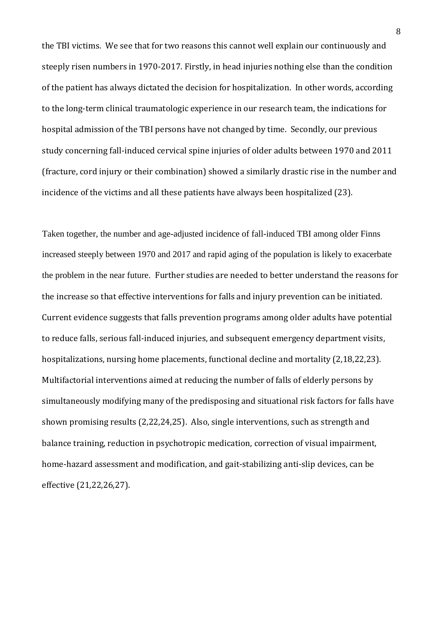the TBI victims. We see that for two reasons this cannot well explain our continuously and steeply risen numbers in 1970-2017. Firstly, in head injuries nothing else than the condition of the patient has always dictated the decision for hospitalization. In other words, according to the long-term clinical traumatologic experience in our research team, the indications for hospital admission of the TBI persons have not changed by time. Secondly, our previous study concerning fall-induced cervical spine injuries of older adults between 1970 and 2011 (fracture, cord injury or their combination) showed a similarly drastic rise in the number and incidence of the victims and all these patients have always been hospitalized (23).

Taken together, the number and age-adjusted incidence of fall-induced TBI among older Finns increased steeply between 1970 and 2017 and rapid aging of the population is likely to exacerbate the problem in the near future. Further studies are needed to better understand the reasons for the increase so that effective interventions for falls and injury prevention can be initiated. Current evidence suggests that falls prevention programs among older adults have potential to reduce falls, serious fall-induced injuries, and subsequent emergency department visits, hospitalizations, nursing home placements, functional decline and mortality (2,18,22,23). Multifactorial interventions aimed at reducing the number of falls of elderly persons by simultaneously modifying many of the predisposing and situational risk factors for falls have shown promising results (2,22,24,25). Also, single interventions, such as strength and balance training, reduction in psychotropic medication, correction of visual impairment, home-hazard assessment and modification, and gait-stabilizing anti-slip devices, can be effective (21,22,26,27).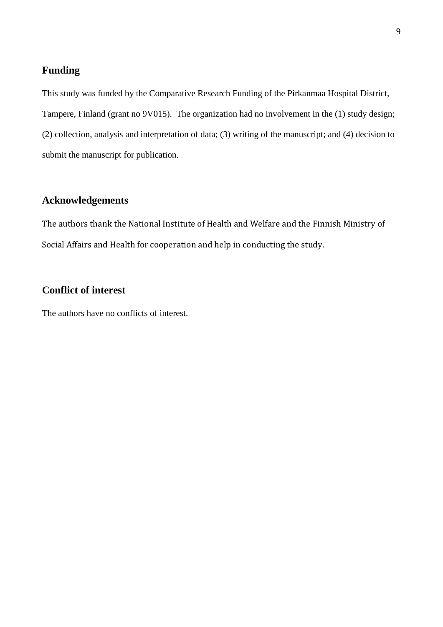# **Funding**

This study was funded by the Comparative Research Funding of the Pirkanmaa Hospital District, Tampere, Finland (grant no 9V015). The organization had no involvement in the (1) study design; (2) collection, analysis and interpretation of data; (3) writing of the manuscript; and (4) decision to submit the manuscript for publication.

## **Acknowledgements**

The authors thank the National Institute of Health and Welfare and the Finnish Ministry of Social Affairs and Health for cooperation and help in conducting the study.

# **Conflict of interest**

The authors have no conflicts of interest.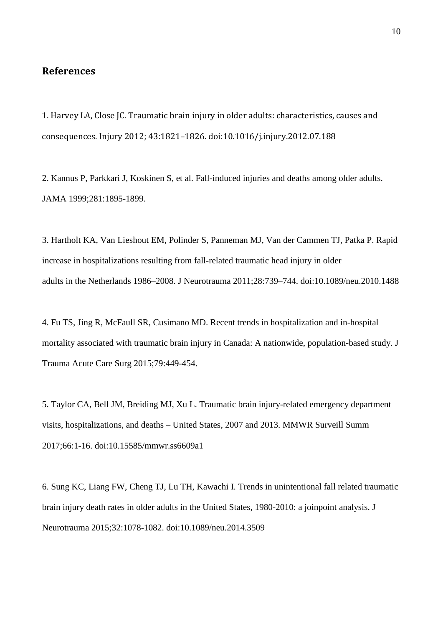## **References**

1. Harvey LA, Close JC. Traumatic brain injury in older adults: characteristics, causes and consequences. Injury 2012; 43:1821–1826. doi:10.1016/j.injury.2012.07.188

2. Kannus P, Parkkari J, Koskinen S, et al. Fall-induced injuries and deaths among older adults. JAMA 1999;281:1895-1899.

3. Hartholt KA, Van Lieshout EM, Polinder S, Panneman MJ, Van der Cammen TJ, Patka P. Rapid increase in hospitalizations resulting from fall-related traumatic head injury in older adults in the Netherlands 1986–2008. J Neurotrauma 2011;28:739–744. doi:10.1089/neu.2010.1488

4. Fu TS, Jing R, McFaull SR, Cusimano MD. Recent trends in hospitalization and in-hospital mortality associated with traumatic brain injury in Canada: A nationwide, population-based study. J Trauma Acute Care Surg 2015;79:449-454.

5. Taylor CA, Bell JM, Breiding MJ, Xu L. Traumatic brain injury-related emergency department visits, hospitalizations, and deaths – United States, 2007 and 2013. MMWR Surveill Summ 2017;66:1-16. doi:10.15585/mmwr.ss6609a1

6. Sung KC, Liang FW, Cheng TJ, Lu TH, Kawachi I. Trends in unintentional fall related traumatic brain injury death rates in older adults in the United States, 1980-2010: a joinpoint analysis. J Neurotrauma 2015;32:1078-1082. doi:10.1089/neu.2014.3509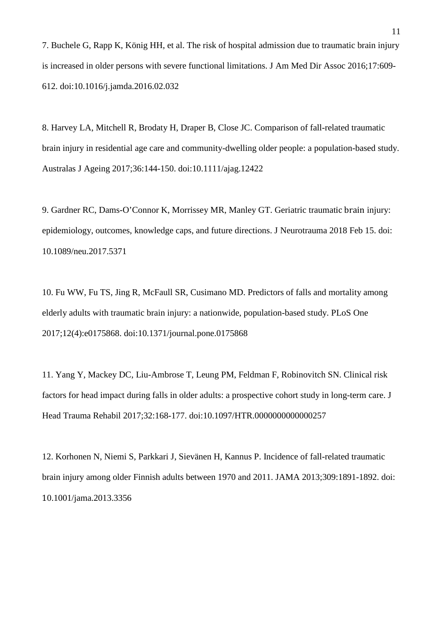7. Buchele G, Rapp K, König HH, et al. The risk of hospital admission due to traumatic brain injury is increased in older persons with severe functional limitations. J Am Med Dir Assoc 2016;17:609- 612. doi:10.1016/j.jamda.2016.02.032

8. Harvey LA, Mitchell R, Brodaty H, Draper B, Close JC. Comparison of fall-related traumatic brain injury in residential age care and community-dwelling older people: a population-based study. Australas J Ageing 2017;36:144-150. doi:10.1111/ajag.12422

9. Gardner RC, Dams-O'Connor K, Morrissey MR, Manley GT. Geriatric traumatic brain injury: epidemiology, outcomes, knowledge caps, and future directions. J Neurotrauma 2018 Feb 15. doi: 10.1089/neu.2017.5371

10. Fu WW, Fu TS, Jing R, McFaull SR, Cusimano MD. Predictors of falls and mortality among elderly adults with traumatic brain injury: a nationwide, population-based study. PLoS One 2017;12(4):e0175868. doi:10.1371/journal.pone.0175868

11. Yang Y, Mackey DC, Liu-Ambrose T, Leung PM, Feldman F, Robinovitch SN. Clinical risk factors for head impact during falls in older adults: a prospective cohort study in long-term care. J Head Trauma Rehabil 2017;32:168-177. doi:10.1097/HTR.0000000000000257

12. Korhonen N, Niemi S, Parkkari J, Sievänen H, Kannus P. Incidence of fall-related traumatic brain injury among older Finnish adults between 1970 and 2011. JAMA 2013;309:1891-1892. doi: 10.1001/jama.2013.3356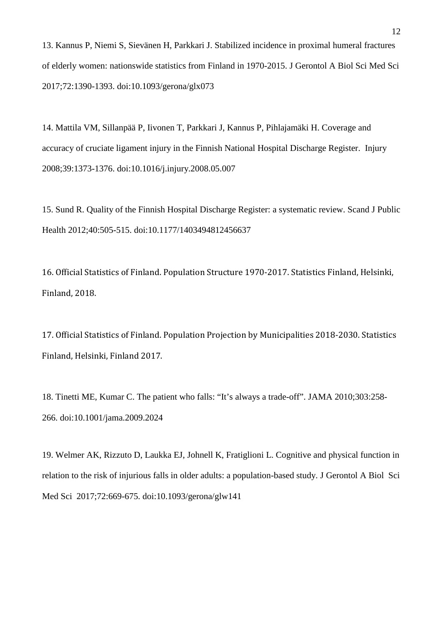13. Kannus P, Niemi S, Sievänen H, Parkkari J. Stabilized incidence in proximal humeral fractures of elderly women: nationswide statistics from Finland in 1970-2015. J Gerontol A Biol Sci Med Sci 2017;72:1390-1393. doi:10.1093/gerona/glx073

14. Mattila VM, Sillanpää P, Iivonen T, Parkkari J, Kannus P, Pihlajamäki H. Coverage and accuracy of cruciate ligament injury in the Finnish National Hospital Discharge Register. Injury 2008;39:1373-1376. doi:10.1016/j.injury.2008.05.007

15. Sund R. Quality of the Finnish Hospital Discharge Register: a systematic review. Scand J Public Health 2012;40:505-515. doi:10.1177/1403494812456637

16. Official Statistics of Finland. Population Structure 1970-2017. Statistics Finland, Helsinki, Finland, 2018.

17. Official Statistics of Finland. Population Projection by Municipalities 2018-2030. Statistics Finland, Helsinki, Finland 2017.

18. Tinetti ME, Kumar C. The patient who falls: "It's always a trade-off". JAMA 2010;303:258- 266. doi:10.1001/jama.2009.2024

19. Welmer AK, Rizzuto D, Laukka EJ, Johnell K, Fratiglioni L. Cognitive and physical function in relation to the risk of injurious falls in older adults: a population-based study. J Gerontol A Biol Sci Med Sci 2017;72:669-675. doi:10.1093/gerona/glw141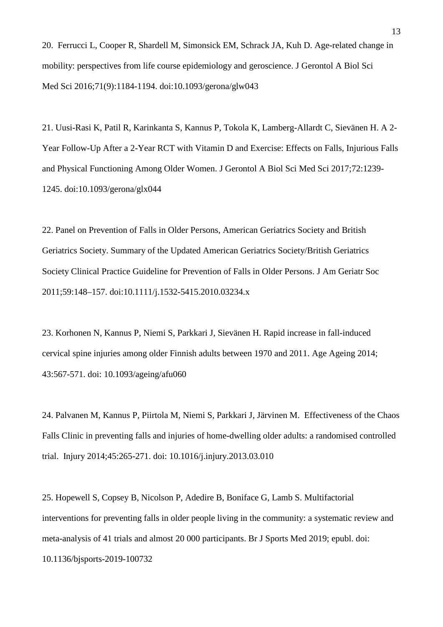20. Ferrucci L, Cooper R, Shardell M, Simonsick EM, Schrack JA, Kuh D. Age-related change in mobility: perspectives from life course epidemiology and geroscience. J Gerontol A Biol Sci Med Sci 2016;71(9):1184-1194. doi:10.1093/gerona/glw043

21. Uusi-Rasi K, Patil R, Karinkanta S, Kannus P, Tokola K, Lamberg-Allardt C, Sievänen H. A 2- Year Follow-Up After a 2-Year RCT with Vitamin D and Exercise: Effects on Falls, Injurious Falls and Physical Functioning Among Older Women. J Gerontol A Biol Sci Med Sci 2017;72:1239- 1245. doi:10.1093/gerona/glx044

22. Panel on Prevention of Falls in Older Persons, American Geriatrics Society and British Geriatrics Society. Summary of the Updated American Geriatrics Society/British Geriatrics Society Clinical Practice Guideline for Prevention of Falls in Older Persons. J Am Geriatr Soc 2011;59:148–157. doi:10.1111/j.1532-5415.2010.03234.x

23. Korhonen N, Kannus P, Niemi S, Parkkari J, Sievänen H. Rapid increase in fall-induced cervical spine injuries among older Finnish adults between 1970 and 2011. Age Ageing 2014; 43:567-571. doi: 10.1093/ageing/afu060

24. Palvanen M, Kannus P, Piirtola M, Niemi S, Parkkari J, Järvinen M. Effectiveness of the Chaos Falls Clinic in preventing falls and injuries of home-dwelling older adults: a randomised controlled trial. Injury 2014;45:265-271. doi: 10.1016/j.injury.2013.03.010

25. Hopewell S, Copsey B, Nicolson P, Adedire B, Boniface G, Lamb S. Multifactorial interventions for preventing falls in older people living in the community: a systematic review and meta-analysis of 41 trials and almost 20 000 participants. Br J Sports Med 2019; epubl. doi: 10.1136/bjsports-2019-100732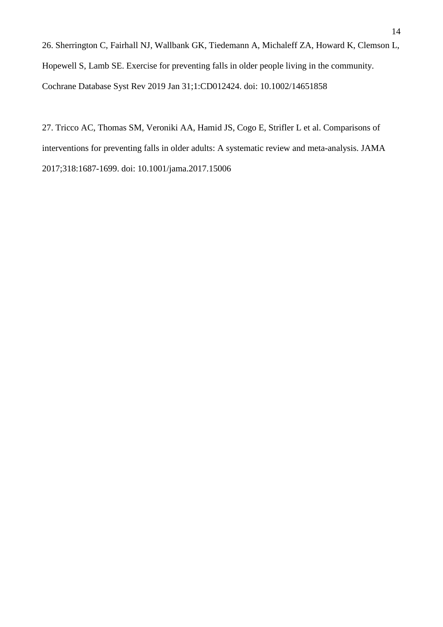26. Sherrington C, Fairhall NJ, Wallbank GK, Tiedemann A, Michaleff ZA, Howard K, Clemson L, Hopewell S, Lamb SE. Exercise for preventing falls in older people living in the community. Cochrane Database Syst Rev 2019 Jan 31;1:CD012424. doi: 10.1002/14651858

27. Tricco AC, Thomas SM, Veroniki AA, Hamid JS, Cogo E, Strifler L et al. Comparisons of interventions for preventing falls in older adults: A systematic review and meta-analysis. JAMA 2017;318:1687-1699. doi: 10.1001/jama.2017.15006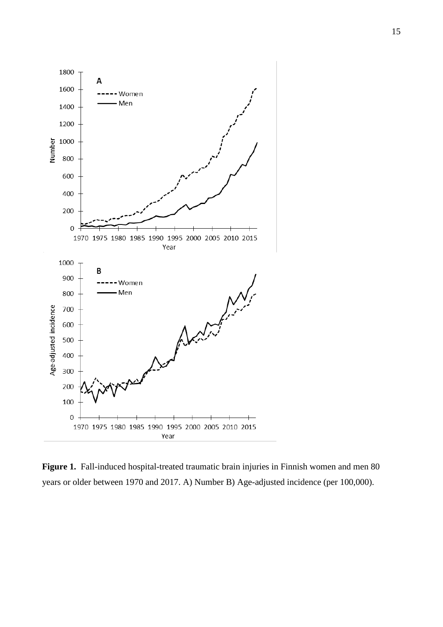

**Figure 1.** Fall-induced hospital-treated traumatic brain injuries in Finnish women and men 80 years or older between 1970 and 2017. A) Number B) Age-adjusted incidence (per 100,000).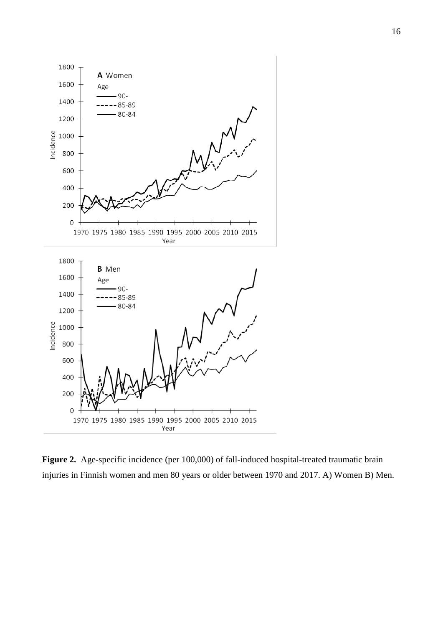

**Figure 2.** Age-specific incidence (per 100,000) of fall-induced hospital-treated traumatic brain injuries in Finnish women and men 80 years or older between 1970 and 2017. A) Women B) Men.